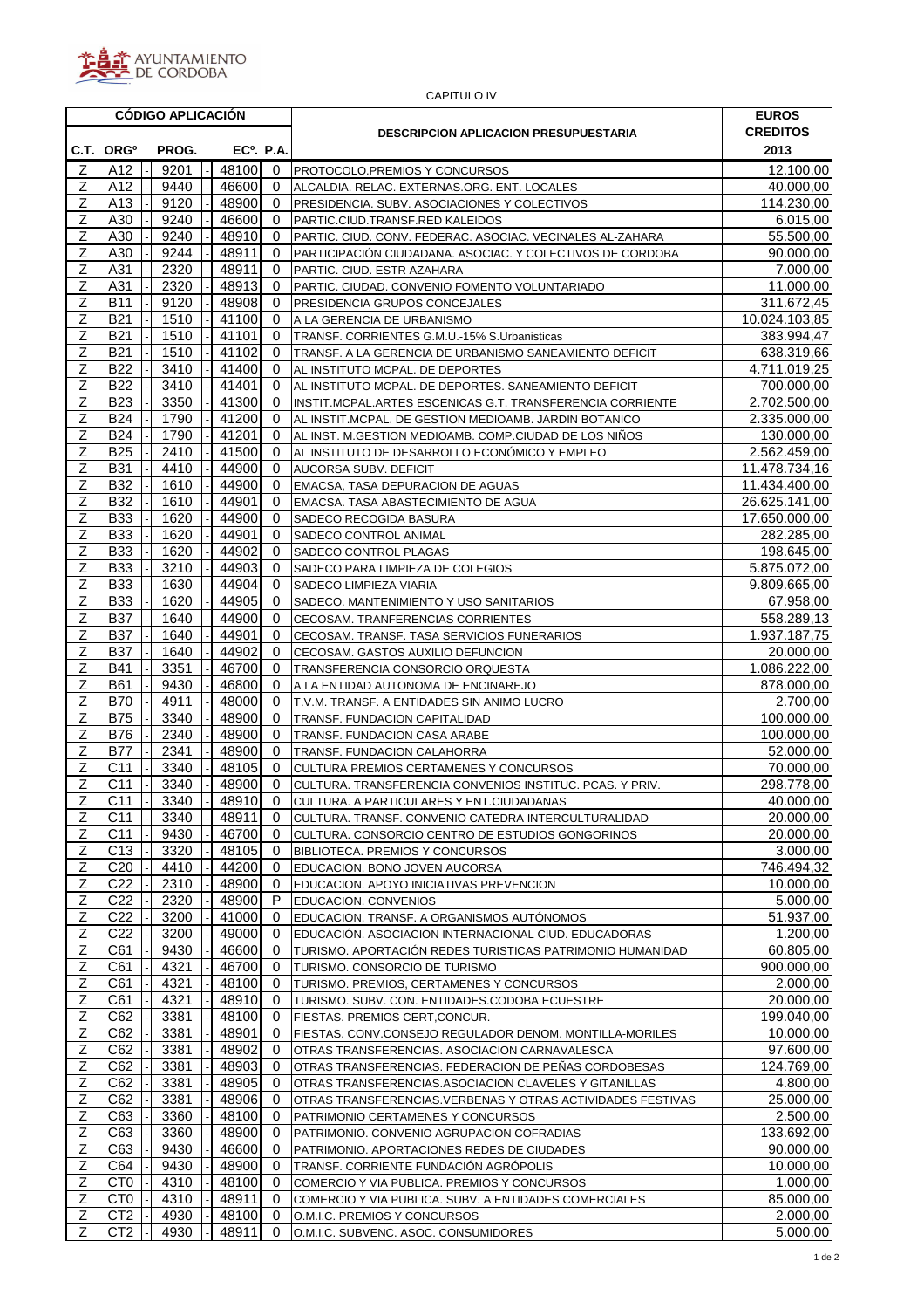

| <b>CAPITULO IV</b>  |                                    |                          |              |                        |                   |                                                                                                                    |                                 |  |  |  |  |  |
|---------------------|------------------------------------|--------------------------|--------------|------------------------|-------------------|--------------------------------------------------------------------------------------------------------------------|---------------------------------|--|--|--|--|--|
|                     |                                    | <b>CÓDIGO APLICACIÓN</b> |              |                        |                   | <b>DESCRIPCION APLICACION PRESUPUESTARIA</b>                                                                       | <b>EUROS</b><br><b>CREDITOS</b> |  |  |  |  |  |
|                     | C.T. ORG <sup>o</sup>              | PROG.                    |              | EC <sup>o</sup> . P.A. |                   |                                                                                                                    | 2013                            |  |  |  |  |  |
| Ζ                   | A12                                | 9201                     |              | 48100                  | $\mathbf{0}$      | <b>PROTOCOLO.PREMIOS Y CONCURSOS</b>                                                                               | 12.100,00                       |  |  |  |  |  |
| Ζ                   | A12                                | 9440                     |              | 46600                  | 0                 | ALCALDIA. RELAC. EXTERNAS.ORG. ENT. LOCALES                                                                        | 40.000,00                       |  |  |  |  |  |
| Ζ                   | A13                                | 9120                     |              | 48900                  | 0                 | PRESIDENCIA. SUBV. ASOCIACIONES Y COLECTIVOS                                                                       | 114.230,00                      |  |  |  |  |  |
| Ζ                   | A30                                | 9240                     |              | 46600                  | 0                 | PARTIC.CIUD.TRANSF.RED KALEIDOS                                                                                    | 6.015,00                        |  |  |  |  |  |
| $\mathsf Z$<br>Z    | A30<br>A30                         | 9240<br>9244             |              | 48910<br>48911         | $\mathbf{0}$<br>0 | PARTIC. CIUD. CONV. FEDERAC. ASOCIAC. VECINALES AL-ZAHARA                                                          | 55.500,00<br>90.000.00          |  |  |  |  |  |
| $\mathsf Z$         | A31                                | 2320                     |              | 48911                  | $\Omega$          | PARTICIPACIÓN CIUDADANA. ASOCIAC. Y COLECTIVOS DE CORDOBA<br>PARTIC. CIUD. ESTR AZAHARA                            | 7.000,00                        |  |  |  |  |  |
| Ζ                   | A31                                | 2320                     |              | 48913                  | 0                 | PARTIC. CIUDAD. CONVENIO FOMENTO VOLUNTARIADO                                                                      | 11.000,00                       |  |  |  |  |  |
| Z                   | <b>B11</b>                         | 9120                     |              | 48908                  | 0                 | <b>PRESIDENCIA GRUPOS CONCEJALES</b>                                                                               | 311.672,45                      |  |  |  |  |  |
| $\mathsf Z$         | <b>B21</b>                         | 1510                     |              | 41100                  | 0                 | A LA GERENCIA DE URBANISMO                                                                                         | 10.024.103,85                   |  |  |  |  |  |
| Z                   | <b>B21</b>                         | 1510                     |              | 41101                  | 0                 | TRANSF. CORRIENTES G.M.U.-15% S.Urbanisticas                                                                       | 383.994,47                      |  |  |  |  |  |
| Ζ                   | <b>B21</b>                         | 1510                     |              | 41102                  | 0                 | TRANSF. A LA GERENCIA DE URBANISMO SANEAMIENTO DEFICIT                                                             | 638.319,66                      |  |  |  |  |  |
| Z                   | <b>B22</b>                         | 3410                     |              | 41400                  | 0                 | AL INSTITUTO MCPAL. DE DEPORTES                                                                                    | 4.711.019,25                    |  |  |  |  |  |
| $\overline{Z}$<br>Z | <b>B22</b><br><b>B23</b>           | 3410<br>3350             |              | 41401<br>41300         | 0<br>0            | AL INSTITUTO MCPAL. DE DEPORTES. SANEAMIENTO DEFICIT                                                               | 700.000,00<br>2.702.500,00      |  |  |  |  |  |
| $\mathsf Z$         | <b>B24</b>                         | 1790                     |              | 41200                  | 0                 | INSTIT.MCPAL.ARTES ESCENICAS G.T. TRANSFERENCIA CORRIENTE<br>AL INSTIT.MCPAL. DE GESTION MEDIOAMB. JARDIN BOTANICO | 2.335.000,00                    |  |  |  |  |  |
| Ζ                   | <b>B24</b>                         | 1790                     |              | 41201                  | 0                 | AL INST. M.GESTION MEDIOAMB. COMP.CIUDAD DE LOS NIÑOS                                                              | 130.000,00                      |  |  |  |  |  |
| $\mathsf Z$         | <b>B25</b>                         | 2410                     |              | 41500                  | 0                 | AL INSTITUTO DE DESARROLLO ECONÓMICO Y EMPLEO                                                                      | 2.562.459,00                    |  |  |  |  |  |
| Ζ                   | <b>B31</b>                         | 4410                     |              | 44900                  | 0                 | AUCORSA SUBV. DEFICIT                                                                                              | 11.478.734,16                   |  |  |  |  |  |
| Ζ                   | <b>B32</b>                         | 1610                     |              | 44900                  | 0                 | <b>EMACSA, TASA DEPURACION DE AGUAS</b>                                                                            | 11.434.400,00                   |  |  |  |  |  |
| Z                   | <b>B32</b>                         | 1610                     |              | 44901                  | 0                 | EMACSA. TASA ABASTECIMIENTO DE AGUA                                                                                | 26.625.141,00                   |  |  |  |  |  |
| Ζ                   | <b>B33</b>                         | 1620                     |              | 44900                  | 0                 | SADECO RECOGIDA BASURA                                                                                             | 17.650.000.00                   |  |  |  |  |  |
| Ζ                   | <b>B33</b>                         | 1620                     |              | 44901                  | $\Omega$          | SADECO CONTROL ANIMAL                                                                                              | 282.285,00                      |  |  |  |  |  |
| Z<br>$\mathsf Z$    | <b>B33</b>                         | 1620                     |              | 44902                  | 0                 | SADECO CONTROL PLAGAS                                                                                              | 198.645,00                      |  |  |  |  |  |
| Ζ                   | <b>B33</b><br><b>B33</b>           | 3210<br>1630             |              | 44903<br>44904         | 0<br>0            | SADECO PARA LIMPIEZA DE COLEGIOS<br>SADECO LIMPIEZA VIARIA                                                         | 5.875.072,00<br>9.809.665,00    |  |  |  |  |  |
| Z                   | <b>B33</b>                         | 1620                     |              | 44905                  | 0                 | SADECO. MANTENIMIENTO Y USO SANITARIOS                                                                             | 67.958,00                       |  |  |  |  |  |
| Ζ                   | <b>B37</b>                         | 1640                     |              | 44900                  | 0                 | CECOSAM. TRANFERENCIAS CORRIENTES                                                                                  | 558.289,13                      |  |  |  |  |  |
| Ζ                   | <b>B37</b>                         | 1640                     |              | 44901                  | 0                 | CECOSAM. TRANSF. TASA SERVICIOS FUNERARIOS                                                                         | 1.937.187,75                    |  |  |  |  |  |
| Z                   | <b>B37</b>                         | 1640                     |              | 44902                  | $\Omega$          | CECOSAM. GASTOS AUXILIO DEFUNCION                                                                                  | 20.000,00                       |  |  |  |  |  |
| Ζ                   | <b>B41</b>                         | 3351                     |              | 46700                  | 0                 | TRANSFERENCIA CONSORCIO ORQUESTA                                                                                   | 1.086.222,00                    |  |  |  |  |  |
| Ζ                   | <b>B61</b>                         | 9430                     |              | 46800                  | 0                 | A LA ENTIDAD AUTONOMA DE ENCINAREJO                                                                                | 878.000,00                      |  |  |  |  |  |
| Z                   | <b>B70</b>                         | 4911                     |              | 48000                  | $\mathbf{0}$      | T.V.M. TRANSF. A ENTIDADES SIN ANIMO LUCRO                                                                         | 2.700,00                        |  |  |  |  |  |
| $\mathsf Z$<br>Ζ    | <b>B75</b><br><b>B76</b>           | 3340<br>2340             |              | 48900<br>48900         | 0<br>$\mathbf{0}$ | TRANSF. FUNDACION CAPITALIDAD                                                                                      | 100.000,00<br>100.000,00        |  |  |  |  |  |
| Ζ                   | B77                                | 2341                     |              | 48900                  | $\Omega$          | TRANSF. FUNDACION CASA ARABE<br>TRANSF. FUNDACION CALAHORRA                                                        | 52.000,00                       |  |  |  |  |  |
| $\mathsf Z$         | C <sub>11</sub>                    | 3340                     |              | 48105                  | $\mathbf 0$       | CULTURA PREMIOS CERTAMENES Y CONCURSOS                                                                             | 70.000,00                       |  |  |  |  |  |
| $\overline{Z}$      | C11                                | 3340                     | $\mathbf{L}$ | 48900                  |                   | 0 CULTURA. TRANSFERENCIA CONVENIOS INSTITUC. PCAS. Y PRIV.                                                         | 298.778,00                      |  |  |  |  |  |
| Z                   | C11                                | 3340                     |              | 48910                  | 0                 | CULTURA. A PARTICULARES Y ENT.CIUDADANAS                                                                           | 40.000,00                       |  |  |  |  |  |
| Ζ                   | C <sub>11</sub>                    | 3340                     |              | 48911                  | 0                 | CULTURA. TRANSF. CONVENIO CATEDRA INTERCULTURALIDAD                                                                | 20.000,00                       |  |  |  |  |  |
| Ζ                   | C <sub>11</sub>                    | 9430                     |              | 46700                  | 0                 | CULTURA. CONSORCIO CENTRO DE ESTUDIOS GONGORINOS                                                                   | 20.000,00                       |  |  |  |  |  |
| Ζ                   | C <sub>13</sub>                    | 3320                     |              | 48105                  | 0                 | BIBLIOTECA. PREMIOS Y CONCURSOS                                                                                    | 3.000,00                        |  |  |  |  |  |
| Z                   | C <sub>20</sub><br>C <sub>22</sub> | 4410                     |              | 44200                  | 0                 | EDUCACION. BONO JOVEN AUCORSA                                                                                      | 746.494,32<br>10.000,00         |  |  |  |  |  |
| $\overline{Z}$<br>Ζ | C <sub>22</sub>                    | 2310<br>2320             |              | 48900<br>48900         | 0<br>P            | EDUCACION. APOYO INICIATIVAS PREVENCION<br>EDUCACION. CONVENIOS                                                    | 5.000,00                        |  |  |  |  |  |
| Z                   | C <sub>22</sub>                    | 3200                     |              | 41000                  | $\mathbf{0}$      | EDUCACION. TRANSF. A ORGANISMOS AUTÓNOMOS                                                                          | 51.937,00                       |  |  |  |  |  |
| Ζ                   | C <sub>22</sub>                    | 3200                     |              | 49000                  | 0                 | EDUCACIÓN. ASOCIACION INTERNACIONAL CIUD. EDUCADORAS                                                               | 1.200,00                        |  |  |  |  |  |
| Z                   | C61                                | 9430                     |              | 46600                  | $\mathbf{0}$      | TURISMO. APORTACIÓN REDES TURISTICAS PATRIMONIO HUMANIDAD                                                          | 60.805,00                       |  |  |  |  |  |
| Ζ                   | C61                                | 4321                     |              | 46700                  | 0                 | TURISMO. CONSORCIO DE TURISMO                                                                                      | 900.000,00                      |  |  |  |  |  |
| Ζ                   | C61                                | 4321                     |              | 48100                  | 0                 | TURISMO. PREMIOS, CERTAMENES Y CONCURSOS                                                                           | 2.000,00                        |  |  |  |  |  |
| Z                   | C61                                | 4321                     |              | 48910                  | 0                 | TURISMO. SUBV. CON. ENTIDADES.CODOBA ECUESTRE                                                                      | 20.000,00                       |  |  |  |  |  |
| Ζ<br>Ζ              | C62<br>C62                         | 3381                     |              | 48100                  | $\mathbf{0}$      | FIESTAS. PREMIOS CERT,CONCUR.                                                                                      | 199.040,00                      |  |  |  |  |  |
| Ζ                   | C62                                | 3381<br>3381             |              | 48901<br>48902         | 0<br>0            | FIESTAS. CONV.CONSEJO REGULADOR DENOM. MONTILLA-MORILES<br>OTRAS TRANSFERENCIAS. ASOCIACION CARNAVALESCA           | 10.000,00<br>97.600,00          |  |  |  |  |  |
| Z                   | C62                                | 3381                     |              | 48903                  | $\mathbf{0}$      | OTRAS TRANSFERENCIAS. FEDERACION DE PEÑAS CORDOBESAS                                                               | 124.769,00                      |  |  |  |  |  |
| Z                   | C62                                | 3381                     |              | 48905                  | 0                 | OTRAS TRANSFERENCIAS.ASOCIACION CLAVELES Y GITANILLAS                                                              | 4.800,00                        |  |  |  |  |  |
| Z                   | C62                                | 3381                     |              | 48906                  | 0                 | OTRAS TRANSFERENCIAS. VERBENAS Y OTRAS ACTIVIDADES FESTIVAS                                                        | 25.000,00                       |  |  |  |  |  |
| Ζ                   | C63                                | 3360                     |              | 48100                  | 0                 | PATRIMONIO CERTAMENES Y CONCURSOS                                                                                  | 2.500,00                        |  |  |  |  |  |
| Z                   | C63                                | 3360                     |              | 48900                  | $\mathbf{0}$      | PATRIMONIO. CONVENIO AGRUPACION COFRADIAS                                                                          | 133.692,00                      |  |  |  |  |  |
| Ζ                   | C63                                | 9430                     |              | 46600                  | 0                 | PATRIMONIO. APORTACIONES REDES DE CIUDADES                                                                         | 90.000.00                       |  |  |  |  |  |
| Ζ<br>Z              | C64<br>CT <sub>0</sub>             | 9430<br>4310             |              | 48900                  | $\mathbf{0}$      | TRANSF. CORRIENTE FUNDACIÓN AGRÓPOLIS                                                                              | 10.000,00                       |  |  |  |  |  |
| Ζ                   | CT <sub>0</sub>                    | 4310                     |              | 48100<br>48911         | 0<br>0            | COMERCIO Y VIA PUBLICA. PREMIOS Y CONCURSOS<br>COMERCIO Y VIA PUBLICA. SUBV. A ENTIDADES COMERCIALES               | 1.000,00<br>85.000,00           |  |  |  |  |  |
| Ζ                   | CT <sub>2</sub>                    | 4930                     |              | 48100                  | 0                 | O.M.I.C. PREMIOS Y CONCURSOS                                                                                       | 2.000,00                        |  |  |  |  |  |
| Ζ                   | CT <sub>2</sub>                    | 4930                     |              | 48911                  | $\overline{0}$    | O.M.I.C. SUBVENC. ASOC. CONSUMIDORES                                                                               | 5.000,00                        |  |  |  |  |  |